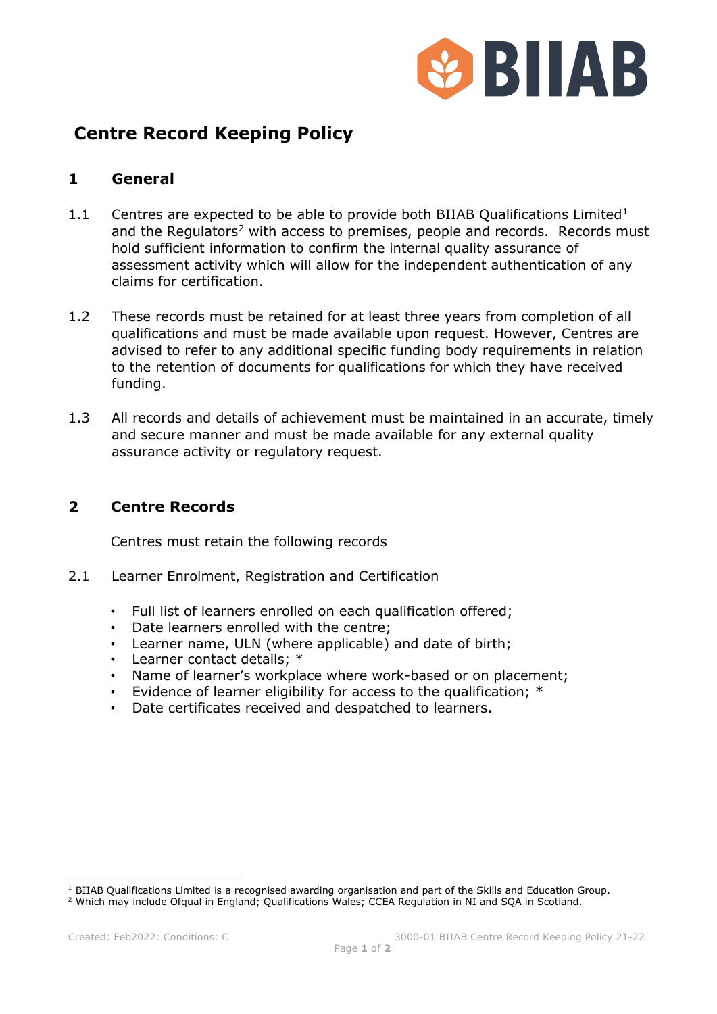

# **Centre Record Keeping Policy**

## **1 General**

- [1](#page-0-0).1 Centres are expected to be able to provide both BIIAB Qualifications Limited<sup>1</sup> and the Regulators<sup>[2](#page-0-1)</sup> with access to premises, people and records. Records must hold sufficient information to confirm the internal quality assurance of assessment activity which will allow for the independent authentication of any claims for certification.
- 1.2 These records must be retained for at least three years from completion of all qualifications and must be made available upon request. However, Centres are advised to refer to any additional specific funding body requirements in relation to the retention of documents for qualifications for which they have received funding.
- 1.3 All records and details of achievement must be maintained in an accurate, timely and secure manner and must be made available for any external quality assurance activity or regulatory request.

## **2 Centre Records**

Centres must retain the following records

- 2.1 Learner Enrolment, Registration and Certification
	- Full list of learners enrolled on each qualification offered;
	- Date learners enrolled with the centre;
	- Learner name, ULN (where applicable) and date of birth;
	- Learner contact details; \*
	- Name of learner's workplace where work-based or on placement;
	- Evidence of learner eligibility for access to the qualification; \*
	- Date certificates received and despatched to learners.

<span id="page-0-0"></span> $1$  BIIAB Qualifications Limited is a recognised awarding organisation and part of the Skills and Education Group.

<span id="page-0-1"></span><sup>2</sup> Which may include Ofqual in England; Qualifications Wales; CCEA Regulation in NI and SQA in Scotland.